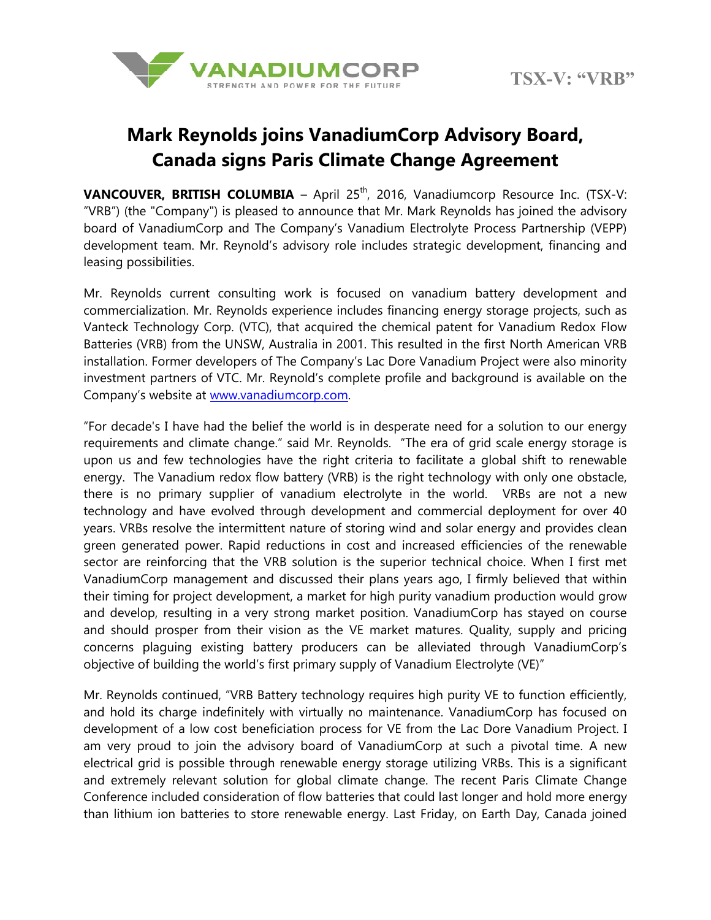

## **Mark Reynolds joins VanadiumCorp Advisory Board, Canada signs Paris Climate Change Agreement**

**VANCOUVER, BRITISH COLUMBIA** - April 25<sup>th</sup>, 2016, Vanadiumcorp Resource Inc. (TSX-V: "VRB") (the "Company") is pleased to announce that Mr. Mark Reynolds has joined the advisory board of VanadiumCorp and The Company's Vanadium Electrolyte Process Partnership (VEPP) development team. Mr. Reynold's advisory role includes strategic development, financing and leasing possibilities.

Mr. Reynolds current consulting work is focused on vanadium battery development and commercialization. Mr. Reynolds experience includes financing energy storage projects, such as Vanteck Technology Corp. (VTC), that acquired the chemical patent for Vanadium Redox Flow Batteries (VRB) from the UNSW, Australia in 2001. This resulted in the first North American VRB installation. Former developers of The Company's Lac Dore Vanadium Project were also minority investment partners of VTC. Mr. Reynold's complete profile and background is available on the Company's website at www.vanadiumcorp.com.

"For decade's I have had the belief the world is in desperate need for a solution to our energy requirements and climate change." said Mr. Reynolds. "The era of grid scale energy storage is upon us and few technologies have the right criteria to facilitate a global shift to renewable energy. The Vanadium redox flow battery (VRB) is the right technology with only one obstacle, there is no primary supplier of vanadium electrolyte in the world. VRBs are not a new technology and have evolved through development and commercial deployment for over 40 years. VRBs resolve the intermittent nature of storing wind and solar energy and provides clean green generated power. Rapid reductions in cost and increased efficiencies of the renewable sector are reinforcing that the VRB solution is the superior technical choice. When I first met VanadiumCorp management and discussed their plans years ago, I firmly believed that within their timing for project development, a market for high purity vanadium production would grow and develop, resulting in a very strong market position. VanadiumCorp has stayed on course and should prosper from their vision as the VE market matures. Quality, supply and pricing concerns plaguing existing battery producers can be alleviated through VanadiumCorp's objective of building the world's first primary supply of Vanadium Electrolyte (VE)"

Mr. Reynolds continued, "VRB Battery technology requires high purity VE to function efficiently, and hold its charge indefinitely with virtually no maintenance. VanadiumCorp has focused on development of a low cost beneficiation process for VE from the Lac Dore Vanadium Project. I am very proud to join the advisory board of VanadiumCorp at such a pivotal time. A new electrical grid is possible through renewable energy storage utilizing VRBs. This is a significant and extremely relevant solution for global climate change. The recent Paris Climate Change Conference included consideration of flow batteries that could last longer and hold more energy than lithium ion batteries to store renewable energy. Last Friday, on Earth Day, Canada joined